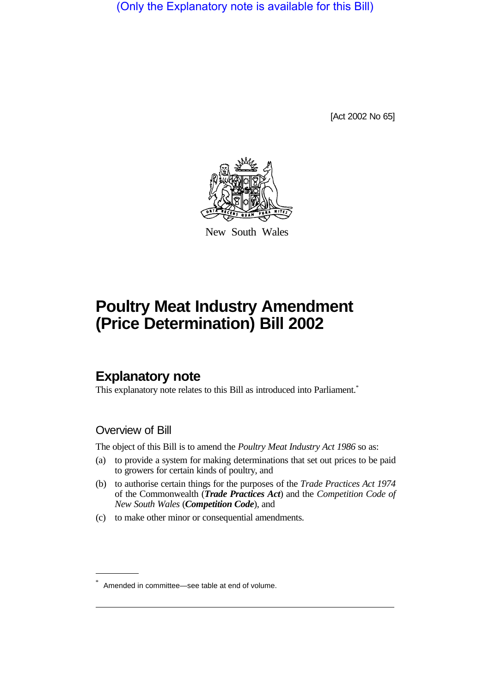(Only the Explanatory note is available for this Bill)

[Act 2002 No 65]



New South Wales

# **Poultry Meat Industry Amendment (Price Determination) Bill 2002**

# **Explanatory note**

This explanatory note relates to this Bill as introduced into Parliament.<sup>\*</sup>

### Overview of Bill

The object of this Bill is to amend the *Poultry Meat Industry Act 1986* so as:

- (a) to provide a system for making determinations that set out prices to be paid to growers for certain kinds of poultry, and
- (b) to authorise certain things for the purposes of the *Trade Practices Act 1974* of the Commonwealth (*Trade Practices Act*) and the *Competition Code of New South Wales* (*Competition Code*), and
- (c) to make other minor or consequential amendments.

Amended in committee—see table at end of volume.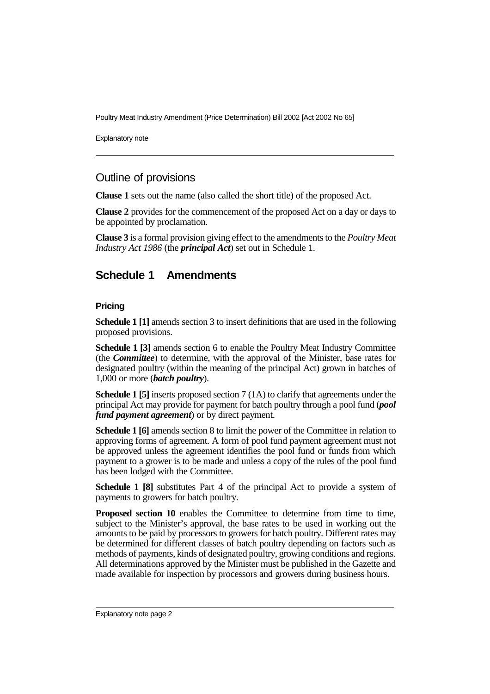Poultry Meat Industry Amendment (Price Determination) Bill 2002 [Act 2002 No 65]

Explanatory note

### Outline of provisions

**Clause 1** sets out the name (also called the short title) of the proposed Act.

**Clause 2** provides for the commencement of the proposed Act on a day or days to be appointed by proclamation.

**Clause 3** is a formal provision giving effect to the amendments to the *Poultry Meat Industry Act 1986* (the *principal Act*) set out in Schedule 1.

## **Schedule 1 Amendments**

### **Pricing**

**Schedule 1 [1]** amends section 3 to insert definitions that are used in the following proposed provisions.

**Schedule 1 [3]** amends section 6 to enable the Poultry Meat Industry Committee (the *Committee*) to determine, with the approval of the Minister, base rates for designated poultry (within the meaning of the principal Act) grown in batches of 1,000 or more (*batch poultry*).

**Schedule 1 [5]** inserts proposed section 7 (1A) to clarify that agreements under the principal Act may provide for payment for batch poultry through a pool fund (*pool fund payment agreement*) or by direct payment.

**Schedule 1 [6]** amends section 8 to limit the power of the Committee in relation to approving forms of agreement. A form of pool fund payment agreement must not be approved unless the agreement identifies the pool fund or funds from which payment to a grower is to be made and unless a copy of the rules of the pool fund has been lodged with the Committee.

**Schedule 1 [8]** substitutes Part 4 of the principal Act to provide a system of payments to growers for batch poultry.

**Proposed section 10** enables the Committee to determine from time to time, subject to the Minister's approval, the base rates to be used in working out the amounts to be paid by processors to growers for batch poultry. Different rates may be determined for different classes of batch poultry depending on factors such as methods of payments, kinds of designated poultry, growing conditions and regions. All determinations approved by the Minister must be published in the Gazette and made available for inspection by processors and growers during business hours.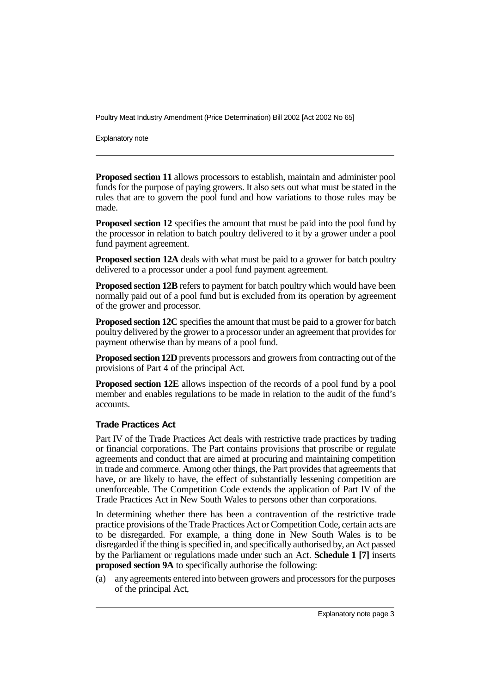Poultry Meat Industry Amendment (Price Determination) Bill 2002 [Act 2002 No 65]

Explanatory note

**Proposed section 11** allows processors to establish, maintain and administer pool funds for the purpose of paying growers. It also sets out what must be stated in the rules that are to govern the pool fund and how variations to those rules may be made.

**Proposed section 12** specifies the amount that must be paid into the pool fund by the processor in relation to batch poultry delivered to it by a grower under a pool fund payment agreement.

**Proposed section 12A** deals with what must be paid to a grower for batch poultry delivered to a processor under a pool fund payment agreement.

**Proposed section 12B** refers to payment for batch poultry which would have been normally paid out of a pool fund but is excluded from its operation by agreement of the grower and processor.

**Proposed section 12C** specifies the amount that must be paid to a grower for batch poultry delivered by the grower to a processor under an agreement that provides for payment otherwise than by means of a pool fund.

**Proposed section 12D** prevents processors and growers from contracting out of the provisions of Part 4 of the principal Act.

**Proposed section 12E** allows inspection of the records of a pool fund by a pool member and enables regulations to be made in relation to the audit of the fund's accounts.

#### **Trade Practices Act**

Part IV of the Trade Practices Act deals with restrictive trade practices by trading or financial corporations. The Part contains provisions that proscribe or regulate agreements and conduct that are aimed at procuring and maintaining competition in trade and commerce. Among other things, the Part provides that agreements that have, or are likely to have, the effect of substantially lessening competition are unenforceable. The Competition Code extends the application of Part IV of the Trade Practices Act in New South Wales to persons other than corporations.

In determining whether there has been a contravention of the restrictive trade practice provisions of the Trade Practices Act or Competition Code, certain acts are to be disregarded. For example, a thing done in New South Wales is to be disregarded if the thing is specified in, and specifically authorised by, an Act passed by the Parliament or regulations made under such an Act. **Schedule 1 [7]** inserts **proposed section 9A** to specifically authorise the following:

(a) any agreements entered into between growers and processors for the purposes of the principal Act,